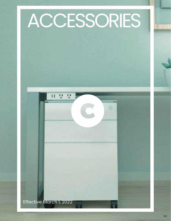## ACCESSORIES

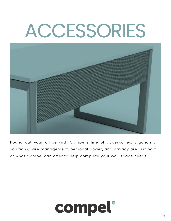# ACCESSORIES



R ound out your office with Compel's line of accessories. Ergonomic solutions, wire management, personal power, and privacy are just part of what Compel can offer to help complete your workspace needs.

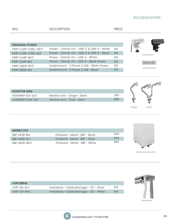### Accessories

| <b>SKU</b>            | <b>DESCRIPTION</b>                         | <b>PRICE</b> |                    |
|-----------------------|--------------------------------------------|--------------|--------------------|
|                       |                                            |              | $11 - 12$<br>n 5 5 |
| <b>PERSONAL POWER</b> |                                            |              |                    |
| PWR-CLMP-USBC-WHT     | Power - Clamp-On - USB-C & USB-A - White   | 219          |                    |
| PWR-CLMP-USBC-BLK     | Power - Clamp-On - USB-C & USB-A - Black   | 219          | Clamp On           |
| PWR-CLMP-WHT          | Power - Clamp-On - USB-A - White           | 150          |                    |
| <b>PWR-CLMP-BLK</b>   | Power - Clamp-On - USB-A - Black Power     | 150          | <b>11 9 9</b>      |
| PWR-UNDR-WHT          | Undermount - 2 Power 2 USB - White Power - | 219          |                    |
| <b>PWR-UNDR-BLK</b>   | Undermount - 2 Power 2 USB - Black         | 219          | Undermount         |
|                       |                                            |              |                    |
|                       |                                            |              |                    |

| <b>MONITOR ARM</b> |                               |     |        |      |
|--------------------|-------------------------------|-----|--------|------|
| MONARM-SGL-SLV     | Monitor Arm - Single - Silver | 396 |        |      |
| MONARM-DUAL-SLV    | Monitor Arm - Dual - Silver   | 695 |        |      |
|                    |                               |     |        |      |
|                    |                               |     | Single | Dual |

| <b>MOBILE PED</b>  |                                 |     |
|--------------------|---------------------------------|-----|
| BBF-MOB-BLK        | Pedestal - Metal - BBF - Black  | 664 |
| <b>BBF-MOB-SLV</b> | Pedestal - Metal - BBF - Silver | 664 |
| <b>BBF-MOB-WHT</b> | Pedestal - Metal - BBF - White  | 664 |



Mobile Box Box File

| <b>VERTEBRAE</b> |                                          |     |
|------------------|------------------------------------------|-----|
| VERT-50-SLV      | Vertebrae - Cable Manager - 50" - Silver | 104 |
| VERT-50-WHT      | Vertebrae - Cable Manager - 50" - White  | 104 |
|                  |                                          |     |

Vertebrae